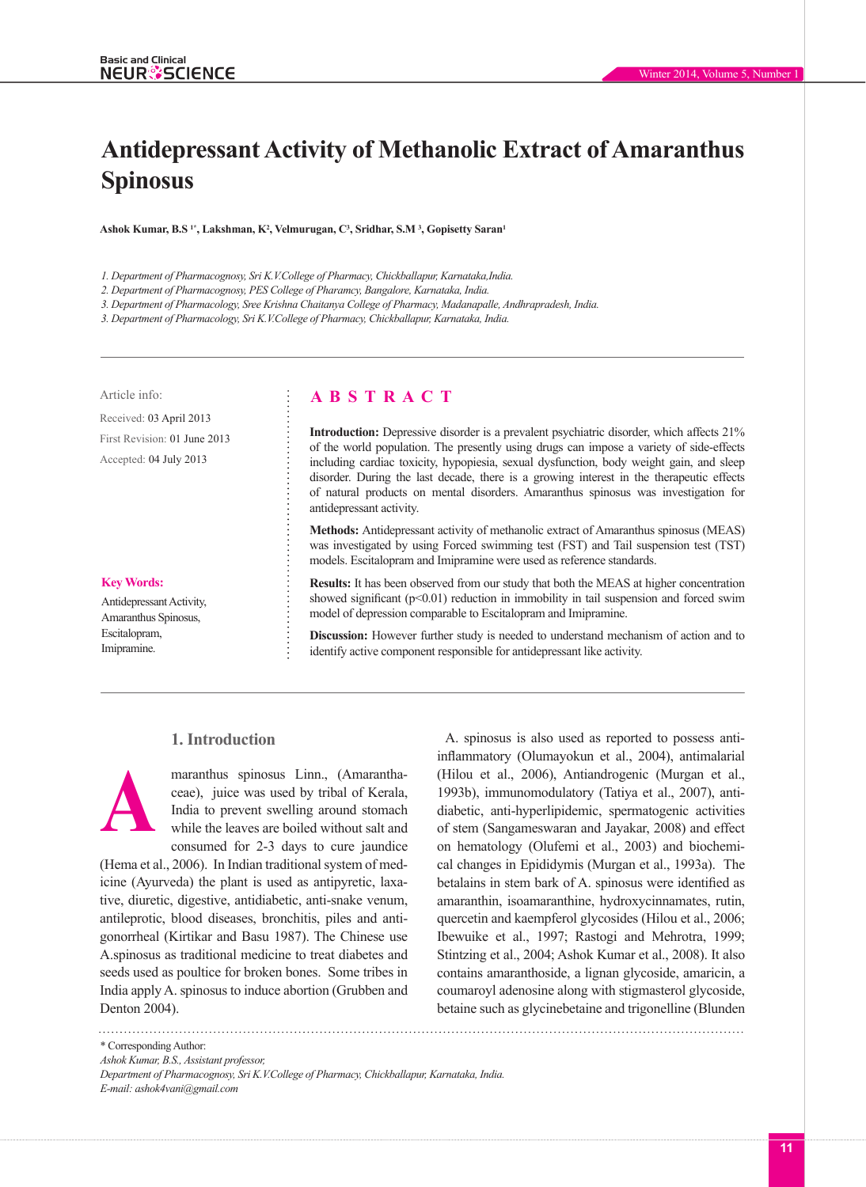# **Antidepressant Activity of Methanolic Extract of Amaranthus Spinosus**

**Ashok Kumar, B.S 1\*, Lakshman, K2 , Velmurugan, C3 , Sridhar, S.M 3 , Gopisetty Saran1**

*1. Department of Pharmacognosy, Sri K.V.College of Pharmacy, Chickballapur, Karnataka,India.*

*2. Department of Pharmacognosy, PES College of Pharamcy, Bangalore, Karnataka, India.*

*3. Department of Pharmacology, Sree Krishna Chaitanya College of Pharmacy, Madanapalle, Andhrapradesh, India.*

*3. Department of Pharmacology, Sri K.V.College of Pharmacy, Chickballapur, Karnataka, India.*

Received: 03 April 2013 First Revision: 01 June 2013 Accepted: 04 July 2013

#### **Key Words:**

Antidepressant Activity, Amaranthus Spinosus, Escitalopram, Imipramine.

# Article info: **A B S T R A C T**

**Introduction:** Depressive disorder is a prevalent psychiatric disorder, which affects 21% of the world population. The presently using drugs can impose a variety of side-effects including cardiac toxicity, hypopiesia, sexual dysfunction, body weight gain, and sleep disorder. During the last decade, there is a growing interest in the therapeutic effects of natural products on mental disorders. Amaranthus spinosus was investigation for antidepressant activity.

**Methods:** Antidepressant activity of methanolic extract of Amaranthus spinosus (MEAS) was investigated by using Forced swimming test (FST) and Tail suspension test (TST) models. Escitalopram and Imipramine were used as reference standards.

**Results:** It has been observed from our study that both the MEAS at higher concentration showed significant  $(p<0.01)$  reduction in immobility in tail suspension and forced swim model of depression comparable to Escitalopram and Imipramine.

**Discussion:** However further study is needed to understand mechanism of action and to identify active component responsible for antidepressant like activity.

## **1. Introduction**

maranthus spinosus Linn., (Amaranthaceae), juice was used by tribal of Kerala, India to prevent swelling around stomach while the leaves are boiled without salt and consumed for 2-3 days to cure jaundice **A**

(Hema et al., 2006). In Indian traditional system of medicine (Ayurveda) the plant is used as antipyretic, laxative, diuretic, digestive, antidiabetic, anti-snake venum, antileprotic, blood diseases, bronchitis, piles and antigonorrheal (Kirtikar and Basu 1987). The Chinese use A.spinosus as traditional medicine to treat diabetes and seeds used as poultice for broken bones. Some tribes in India apply A. spinosus to induce abortion (Grubben and Denton 2004).

A. spinosus is also used as reported to possess antiinflammatory (Olumayokun et al., 2004), antimalarial (Hilou et al., 2006), Antiandrogenic (Murgan et al., 1993b), immunomodulatory (Tatiya et al., 2007), antidiabetic, anti-hyperlipidemic, spermatogenic activities of stem (Sangameswaran and Jayakar, 2008) and effect on hematology (Olufemi et al., 2003) and biochemical changes in Epididymis (Murgan et al., 1993a). The betalains in stem bark of A. spinosus were identified as amaranthin, isoamaranthine, hydroxycinnamates, rutin, quercetin and kaempferol glycosides (Hilou et al., 2006; Ibewuike et al., 1997; Rastogi and Mehrotra, 1999; Stintzing et al., 2004; Ashok Kumar et al., 2008). It also contains amaranthoside, a lignan glycoside, amaricin, a coumaroyl adenosine along with stigmasterol glycoside, betaine such as glycinebetaine and trigonelline (Blunden

\* Corresponding Author:

*Ashok Kumar, B.S., Assistant professor,*

*Department of Pharmacognosy, Sri K.V.College of Pharmacy, Chickballapur, Karnataka, India. E-mail: ashok4vani@gmail.com*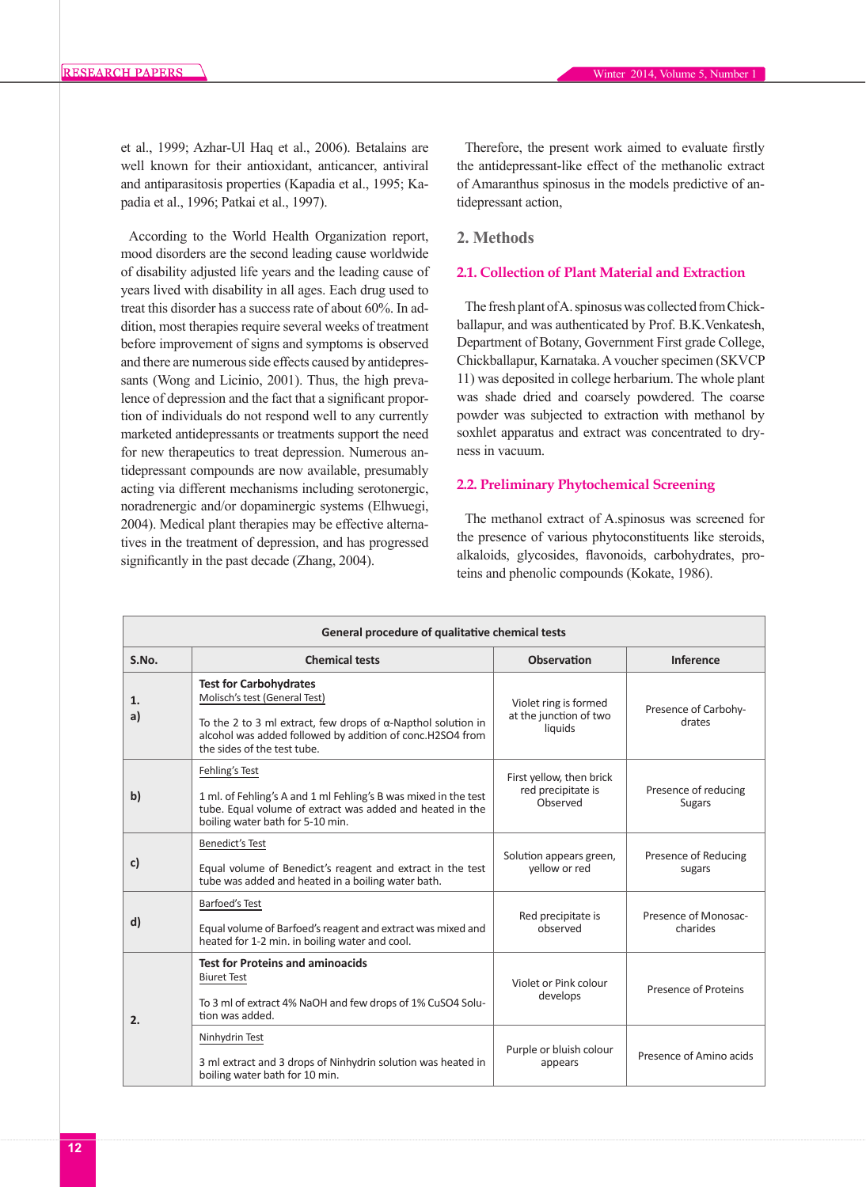et al., 1999; Azhar-Ul Haq et al., 2006). Betalains are well known for their antioxidant, anticancer, antiviral and antiparasitosis properties (Kapadia et al., 1995; Kapadia et al., 1996; Patkai et al., 1997).

According to the World Health Organization report, mood disorders are the second leading cause worldwide of disability adjusted life years and the leading cause of years lived with disability in all ages. Each drug used to treat this disorder has a success rate of about 60%. In addition, most therapies require several weeks of treatment before improvement of signs and symptoms is observed and there are numerous side effects caused by antidepressants (Wong and Licinio, 2001). Thus, the high prevalence of depression and the fact that a significant proportion of individuals do not respond well to any currently marketed antidepressants or treatments support the need for new therapeutics to treat depression. Numerous antidepressant compounds are now available, presumably acting via different mechanisms including serotonergic, noradrenergic and/or dopaminergic systems (Elhwuegi, 2004). Medical plant therapies may be effective alternatives in the treatment of depression, and has progressed significantly in the past decade (Zhang, 2004).

Therefore, the present work aimed to evaluate firstly the antidepressant-like effect of the methanolic extract of Amaranthus spinosus in the models predictive of antidepressant action,

### **2. Methods**

## **2.1. Collection of Plant Material and Extraction**

The fresh plant of A. spinosus was collected from Chickballapur, and was authenticated by Prof. B.K.Venkatesh, Department of Botany, Government First grade College, Chickballapur, Karnataka. A voucher specimen (SKVCP 11) was deposited in college herbarium. The whole plant was shade dried and coarsely powdered. The coarse powder was subjected to extraction with methanol by soxhlet apparatus and extract was concentrated to dryness in vacuum.

#### **2.2. Preliminary Phytochemical Screening**

The methanol extract of A.spinosus was screened for the presence of various phytoconstituents like steroids, alkaloids, glycosides, flavonoids, carbohydrates, proteins and phenolic compounds (Kokate, 1986).

| General procedure of qualitative chemical tests |                                                                                                                                                                                                                                    |                                                            |                                       |  |  |  |
|-------------------------------------------------|------------------------------------------------------------------------------------------------------------------------------------------------------------------------------------------------------------------------------------|------------------------------------------------------------|---------------------------------------|--|--|--|
| S.No.                                           | <b>Chemical tests</b>                                                                                                                                                                                                              | <b>Observation</b>                                         | Inference                             |  |  |  |
| 1.<br>a)                                        | <b>Test for Carbohydrates</b><br>Molisch's test (General Test)<br>To the 2 to 3 ml extract, few drops of $\alpha$ -Napthol solution in<br>alcohol was added followed by addition of conc.H2SO4 from<br>the sides of the test tube. | Violet ring is formed<br>at the junction of two<br>liquids | Presence of Carbohy-<br>drates        |  |  |  |
| $\mathbf{b}$                                    | Fehling's Test<br>1 ml. of Fehling's A and 1 ml Fehling's B was mixed in the test<br>tube. Equal volume of extract was added and heated in the<br>boiling water bath for 5-10 min.                                                 | First yellow, then brick<br>red precipitate is<br>Observed | Presence of reducing<br><b>Sugars</b> |  |  |  |
| c)                                              | <b>Benedict's Test</b><br>Equal volume of Benedict's reagent and extract in the test<br>tube was added and heated in a boiling water bath.                                                                                         | Solution appears green,<br>yellow or red                   | Presence of Reducing<br>sugars        |  |  |  |
| $\mathbf{d}$                                    | <b>Barfoed's Test</b><br>Equal volume of Barfoed's reagent and extract was mixed and<br>heated for 1-2 min. in boiling water and cool.                                                                                             | Red precipitate is<br>observed                             | Presence of Monosac-<br>charides      |  |  |  |
| 2.                                              | <b>Test for Proteins and aminoacids</b><br><b>Biuret Test</b><br>To 3 ml of extract 4% NaOH and few drops of 1% CuSO4 Solu-<br>tion was added.                                                                                     | Violet or Pink colour<br>develops                          | Presence of Proteins                  |  |  |  |
|                                                 | Ninhydrin Test<br>3 ml extract and 3 drops of Ninhydrin solution was heated in<br>boiling water bath for 10 min.                                                                                                                   | Purple or bluish colour<br>appears                         | Presence of Amino acids               |  |  |  |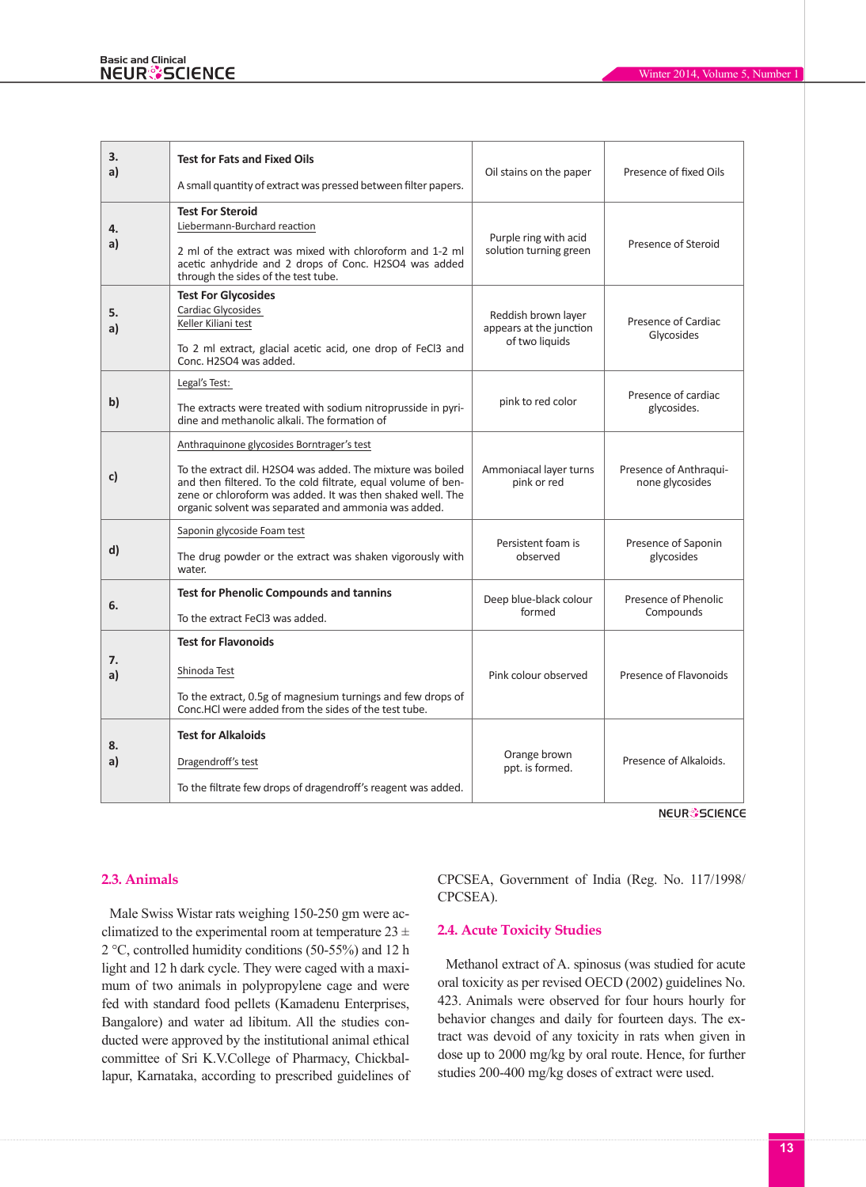| 3.<br>a) | <b>Test for Fats and Fixed Oils</b><br>A small quantity of extract was pressed between filter papers.                                                                                                                                                                                            | Oil stains on the paper                                          | Presence of fixed Oils                    |  |
|----------|--------------------------------------------------------------------------------------------------------------------------------------------------------------------------------------------------------------------------------------------------------------------------------------------------|------------------------------------------------------------------|-------------------------------------------|--|
| 4.<br>a) | <b>Test For Steroid</b><br>Liebermann-Burchard reaction<br>2 ml of the extract was mixed with chloroform and 1-2 ml<br>acetic anhydride and 2 drops of Conc. H2SO4 was added<br>through the sides of the test tube.                                                                              | Purple ring with acid<br>solution turning green                  | Presence of Steroid                       |  |
| 5.<br>a) | <b>Test For Glycosides</b><br>Cardiac Glycosides<br>Keller Kiliani test<br>To 2 ml extract, glacial acetic acid, one drop of FeCl3 and<br>Conc. H2SO4 was added.                                                                                                                                 | Reddish brown layer<br>appears at the junction<br>of two liquids | Presence of Cardiac<br>Glycosides         |  |
| b)       | Legal's Test:<br>The extracts were treated with sodium nitroprusside in pyri-<br>dine and methanolic alkali. The formation of                                                                                                                                                                    | pink to red color                                                | Presence of cardiac<br>glycosides.        |  |
| c)       | Anthraquinone glycosides Borntrager's test<br>To the extract dil. H2SO4 was added. The mixture was boiled<br>and then filtered. To the cold filtrate, equal volume of ben-<br>zene or chloroform was added. It was then shaked well. The<br>organic solvent was separated and ammonia was added. | Ammoniacal layer turns<br>pink or red                            | Presence of Anthraqui-<br>none glycosides |  |
| d)       | Saponin glycoside Foam test<br>The drug powder or the extract was shaken vigorously with<br>water.                                                                                                                                                                                               | Persistent foam is<br>observed                                   | Presence of Saponin<br>glycosides         |  |
| 6.       | <b>Test for Phenolic Compounds and tannins</b><br>To the extract FeCl3 was added.                                                                                                                                                                                                                | Deep blue-black colour<br>formed                                 | Presence of Phenolic<br>Compounds         |  |
| 7.<br>a) | <b>Test for Flavonoids</b><br>Shinoda Test<br>To the extract, 0.5g of magnesium turnings and few drops of<br>Conc.HCl were added from the sides of the test tube.                                                                                                                                | Pink colour observed                                             | Presence of Flavonoids                    |  |
| 8.<br>a) | <b>Test for Alkaloids</b><br>Dragendroff's test<br>To the filtrate few drops of dragendroff's reagent was added.                                                                                                                                                                                 | Orange brown<br>ppt. is formed.                                  | Presence of Alkaloids.                    |  |

**NEUR**SCIENCE

## **2.3. Animals**

Male Swiss Wistar rats weighing 150-250 gm were acclimatized to the experimental room at temperature  $23 \pm$ 2 °C, controlled humidity conditions (50-55%) and 12 h light and 12 h dark cycle. They were caged with a maximum of two animals in polypropylene cage and were fed with standard food pellets (Kamadenu Enterprises, Bangalore) and water ad libitum. All the studies conducted were approved by the institutional animal ethical committee of Sri K.V.College of Pharmacy, Chickballapur, Karnataka, according to prescribed guidelines of CPCSEA, Government of India (Reg. No. 117/1998/ CPCSEA).

# **2.4. Acute Toxicity Studies**

Methanol extract of A. spinosus (was studied for acute oral toxicity as per revised OECD (2002) guidelines No. 423. Animals were observed for four hours hourly for behavior changes and daily for fourteen days. The extract was devoid of any toxicity in rats when given in dose up to 2000 mg/kg by oral route. Hence, for further studies 200-400 mg/kg doses of extract were used.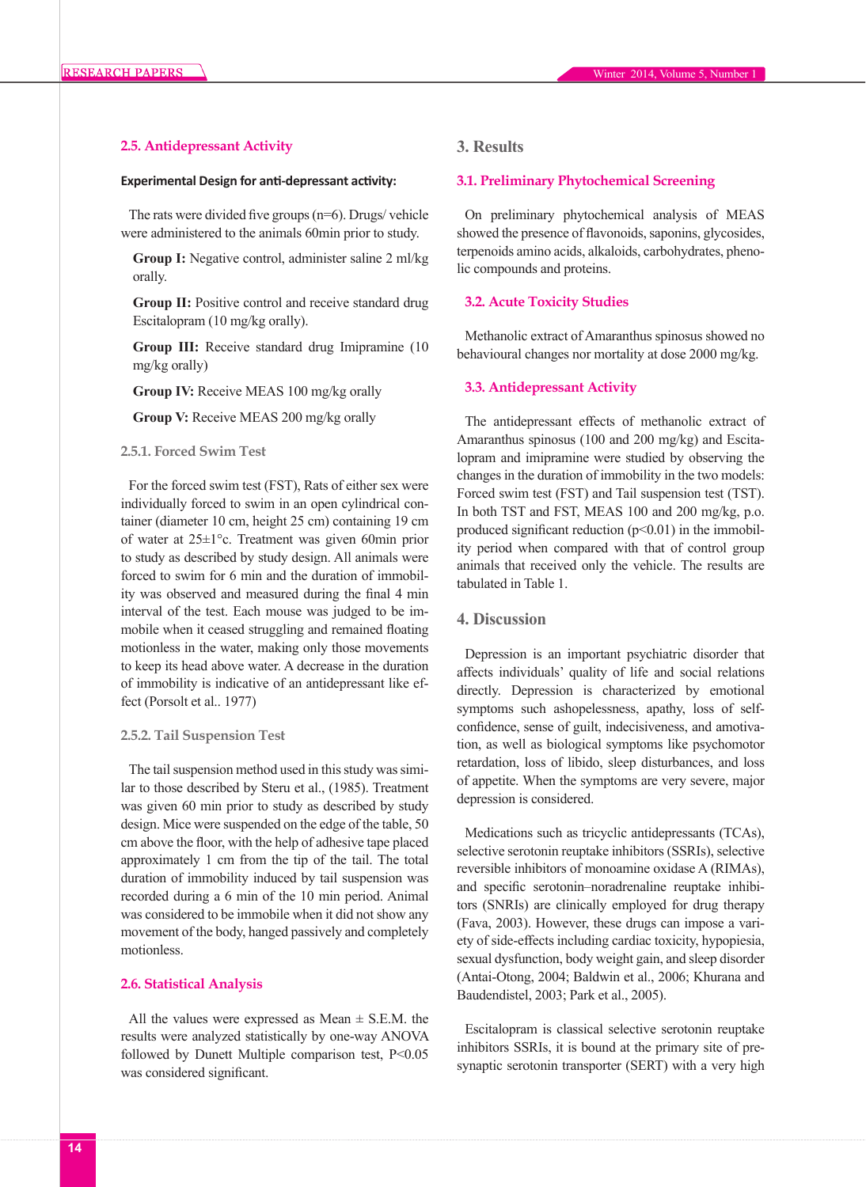## **2.5. Antidepressant Activity**

#### **Experimental Design for anti-depressant activity:**

The rats were divided five groups  $(n=6)$ . Drugs/ vehicle were administered to the animals 60min prior to study.

**Group I:** Negative control, administer saline 2 ml/kg orally.

**Group II:** Positive control and receive standard drug Escitalopram (10 mg/kg orally).

**Group III:** Receive standard drug Imipramine (10 mg/kg orally)

**Group IV:** Receive MEAS 100 mg/kg orally

**Group V:** Receive MEAS 200 mg/kg orally

#### **2.5.1. Forced Swim Test**

For the forced swim test (FST), Rats of either sex were individually forced to swim in an open cylindrical container (diameter 10 cm, height 25 cm) containing 19 cm of water at 25±1°c. Treatment was given 60min prior to study as described by study design. All animals were forced to swim for 6 min and the duration of immobility was observed and measured during the final 4 min interval of the test. Each mouse was judged to be immobile when it ceased struggling and remained floating motionless in the water, making only those movements to keep its head above water. A decrease in the duration of immobility is indicative of an antidepressant like effect (Porsolt et al.. 1977)

#### **2.5.2. Tail Suspension Test**

The tail suspension method used in this study was similar to those described by Steru et al., (1985). Treatment was given 60 min prior to study as described by study design. Mice were suspended on the edge of the table, 50 cm above the floor, with the help of adhesive tape placed approximately 1 cm from the tip of the tail. The total duration of immobility induced by tail suspension was recorded during a 6 min of the 10 min period. Animal was considered to be immobile when it did not show any movement of the body, hanged passively and completely motionless.

#### **2.6. Statistical Analysis**

All the values were expressed as Mean  $\pm$  S.E.M. the results were analyzed statistically by one-way ANOVA followed by Dunett Multiple comparison test, P<0.05 was considered significant.

# **3. Results**

#### **3.1. Preliminary Phytochemical Screening**

On preliminary phytochemical analysis of MEAS showed the presence of flavonoids, saponins, glycosides, terpenoids amino acids, alkaloids, carbohydrates, phenolic compounds and proteins.

## **3.2. Acute Toxicity Studies**

Methanolic extract of Amaranthus spinosus showed no behavioural changes nor mortality at dose 2000 mg/kg.

#### **3.3. Antidepressant Activity**

The antidepressant effects of methanolic extract of Amaranthus spinosus (100 and 200 mg/kg) and Escitalopram and imipramine were studied by observing the changes in the duration of immobility in the two models: Forced swim test (FST) and Tail suspension test (TST). In both TST and FST, MEAS 100 and 200 mg/kg, p.o. produced significant reduction  $(p<0.01)$  in the immobility period when compared with that of control group animals that received only the vehicle. The results are tabulated in Table 1.

# **4. Discussion**

Depression is an important psychiatric disorder that affects individuals' quality of life and social relations directly. Depression is characterized by emotional symptoms such ashopelessness, apathy, loss of selfconfidence, sense of guilt, indecisiveness, and amotivation, as well as biological symptoms like psychomotor retardation, loss of libido, sleep disturbances, and loss of appetite. When the symptoms are very severe, major depression is considered.

Medications such as tricyclic antidepressants (TCAs), selective serotonin reuptake inhibitors (SSRIs), selective reversible inhibitors of monoamine oxidase A (RIMAs), and specific serotonin–noradrenaline reuptake inhibitors (SNRIs) are clinically employed for drug therapy (Fava, 2003). However, these drugs can impose a variety of side-effects including cardiac toxicity, hypopiesia, sexual dysfunction, body weight gain, and sleep disorder (Antai-Otong, 2004; Baldwin et al., 2006; Khurana and Baudendistel, 2003; Park et al., 2005).

Escitalopram is classical selective serotonin reuptake inhibitors SSRIs, it is bound at the primary site of presynaptic serotonin transporter (SERT) with a very high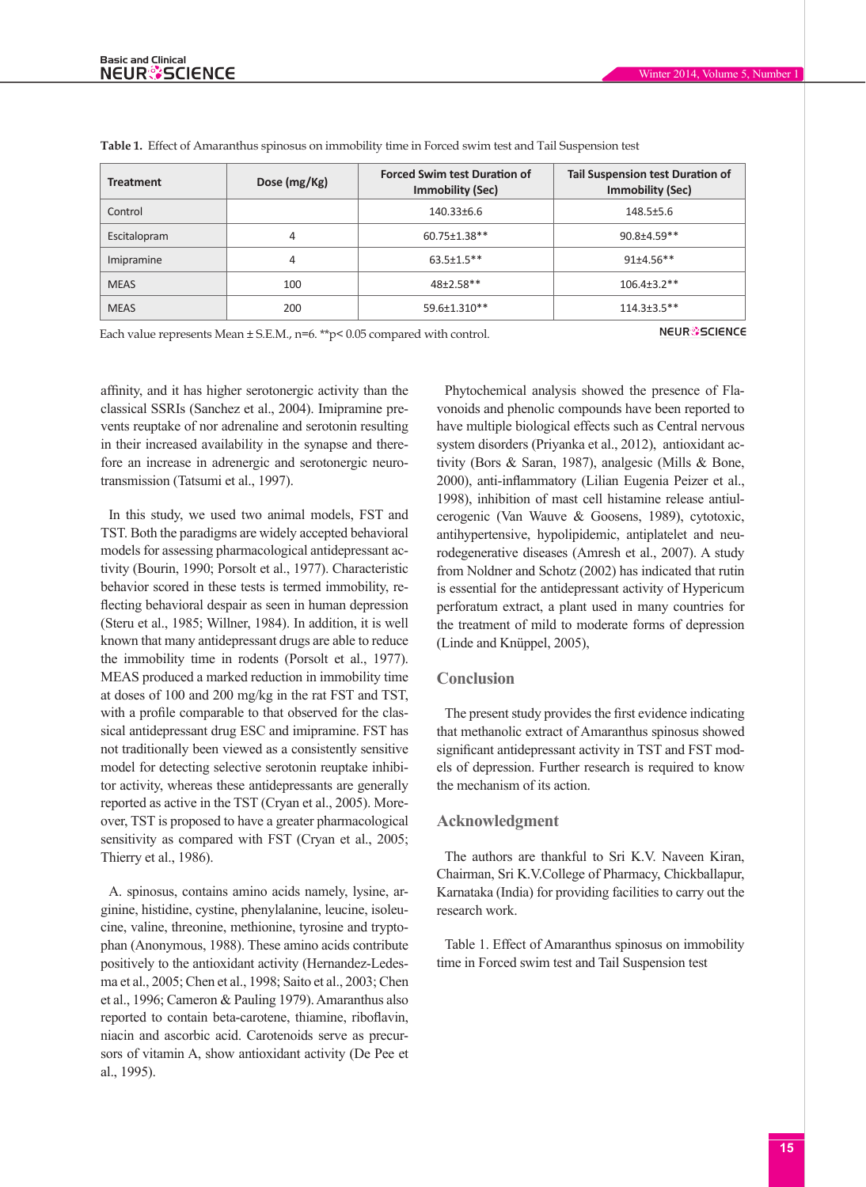| <b>Treatment</b>                                                         | Dose (mg/Kg)                   | <b>Forced Swim test Duration of</b><br><b>Immobility (Sec)</b> | <b>Tail Suspension test Duration of</b><br><b>Immobility (Sec)</b> |
|--------------------------------------------------------------------------|--------------------------------|----------------------------------------------------------------|--------------------------------------------------------------------|
| Control                                                                  |                                | 140.33±6.6                                                     | $148.5 + 5.6$                                                      |
| Escitalopram                                                             | 4                              | 60.75±1.38**                                                   | $90.8 + 4.59**$                                                    |
| Imipramine                                                               | 4                              | $63.5 \pm 1.5$ **                                              | $91+4.56**$                                                        |
| <b>MEAS</b>                                                              | 100                            | $48+2.58**$                                                    | $106.4 \pm 3.2$ **                                                 |
| <b>MEAS</b>                                                              | 200                            | 59.6±1.310**                                                   | $114.3 \pm 3.5$ **                                                 |
| Each value represents Mean $+ S F M$ n=6 **p< 0.05 compared with control | <b>NEUR<sup>3</sup>SCIENCE</b> |                                                                |                                                                    |

**Table 1.** Effect of Amaranthus spinosus on immobility time in Forced swim test and Tail Suspension test

Each value represents Mean  $\pm$  S.E.M., n=6. \*\*p< 0.05 compared with control.

affinity, and it has higher serotonergic activity than the classical SSRIs (Sanchez et al., 2004). Imipramine prevents reuptake of nor adrenaline and serotonin resulting in their increased availability in the synapse and therefore an increase in adrenergic and serotonergic neurotransmission (Tatsumi et al., 1997).

In this study, we used two animal models, FST and TST. Both the paradigms are widely accepted behavioral models for assessing pharmacological antidepressant activity (Bourin, 1990; Porsolt et al., 1977). Characteristic behavior scored in these tests is termed immobility, reflecting behavioral despair as seen in human depression (Steru et al., 1985; Willner, 1984). In addition, it is well known that many antidepressant drugs are able to reduce the immobility time in rodents (Porsolt et al., 1977). MEAS produced a marked reduction in immobility time at doses of 100 and 200 mg/kg in the rat FST and TST, with a profile comparable to that observed for the classical antidepressant drug ESC and imipramine. FST has not traditionally been viewed as a consistently sensitive model for detecting selective serotonin reuptake inhibitor activity, whereas these antidepressants are generally reported as active in the TST (Cryan et al., 2005). Moreover, TST is proposed to have a greater pharmacological sensitivity as compared with FST (Cryan et al., 2005; Thierry et al., 1986).

A. spinosus, contains amino acids namely, lysine, arginine, histidine, cystine, phenylalanine, leucine, isoleucine, valine, threonine, methionine, tyrosine and tryptophan (Anonymous, 1988). These amino acids contribute positively to the antioxidant activity (Hernandez-Ledesma et al., 2005; Chen et al., 1998; Saito et al., 2003; Chen et al., 1996; Cameron & Pauling 1979). Amaranthus also reported to contain beta-carotene, thiamine, riboflavin, niacin and ascorbic acid. Carotenoids serve as precursors of vitamin A, show antioxidant activity (De Pee et al., 1995).

Phytochemical analysis showed the presence of Flavonoids and phenolic compounds have been reported to have multiple biological effects such as Central nervous system disorders (Priyanka et al., 2012), antioxidant activity (Bors & Saran, 1987), analgesic (Mills & Bone, 2000), anti-inflammatory (Lilian Eugenia Peizer et al., 1998), inhibition of mast cell histamine release antiulcerogenic (Van Wauve & Goosens, 1989), cytotoxic, antihypertensive, hypolipidemic, antiplatelet and neurodegenerative diseases (Amresh et al., 2007). A study from Noldner and Schotz (2002) has indicated that rutin is essential for the antidepressant activity of Hypericum perforatum extract, a plant used in many countries for the treatment of mild to moderate forms of depression (Linde and Knüppel, 2005),

## **Conclusion**

The present study provides the first evidence indicating that methanolic extract of Amaranthus spinosus showed significant antidepressant activity in TST and FST models of depression. Further research is required to know the mechanism of its action.

#### **Acknowledgment**

The authors are thankful to Sri K.V. Naveen Kiran, Chairman, Sri K.V.College of Pharmacy, Chickballapur, Karnataka (India) for providing facilities to carry out the research work.

Table 1. Effect of Amaranthus spinosus on immobility time in Forced swim test and Tail Suspension test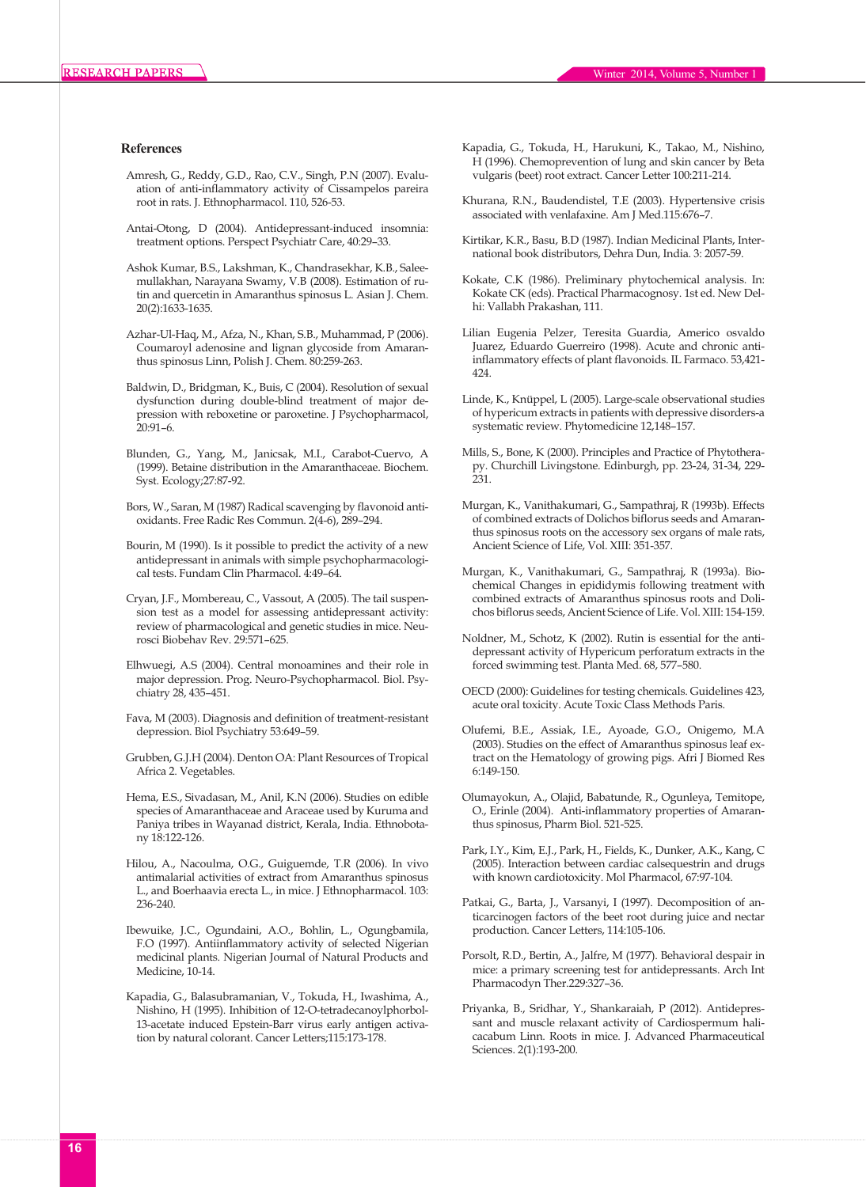#### **References**

- Amresh, G., Reddy, G.D., Rao, C.V., Singh, P.N (2007). Evaluation of anti-inflammatory activity of Cissampelos pareira root in rats. J. Ethnopharmacol. 110, 526-53.
- Antai-Otong, D (2004). Antidepressant-induced insomnia: treatment options. Perspect Psychiatr Care, 40:29–33.
- Ashok Kumar, B.S., Lakshman, K., Chandrasekhar, K.B., Saleemullakhan, Narayana Swamy, V.B (2008). Estimation of rutin and quercetin in Amaranthus spinosus L. Asian J. Chem. 20(2):1633-1635.
- Azhar-Ul-Haq, M., Afza, N., Khan, S.B., Muhammad, P (2006). Coumaroyl adenosine and lignan glycoside from Amaranthus spinosus Linn, Polish J. Chem. 80:259-263.
- Baldwin, D., Bridgman, K., Buis, C (2004). Resolution of sexual dysfunction during double-blind treatment of major depression with reboxetine or paroxetine. J Psychopharmacol, 20:91–6.
- Blunden, G., Yang, M., Janicsak, M.I., Carabot-Cuervo, A (1999). Betaine distribution in the Amaranthaceae. Biochem. Syst. Ecology;27:87-92.
- Bors, W., Saran, M (1987) Radical scavenging by flavonoid antioxidants. Free Radic Res Commun. 2(4-6), 289–294.
- Bourin, M (1990). Is it possible to predict the activity of a new antidepressant in animals with simple psychopharmacological tests. Fundam Clin Pharmacol. 4:49–64.
- Cryan, J.F., Mombereau, C., Vassout, A (2005). The tail suspension test as a model for assessing antidepressant activity: review of pharmacological and genetic studies in mice. Neurosci Biobehav Rev. 29:571–625.
- Elhwuegi, A.S (2004). Central monoamines and their role in major depression. Prog. Neuro-Psychopharmacol. Biol. Psychiatry 28, 435–451.
- Fava, M (2003). Diagnosis and definition of treatment-resistant depression. Biol Psychiatry 53:649–59.
- Grubben, G.J.H (2004). Denton OA: Plant Resources of Tropical Africa 2. Vegetables.
- Hema, E.S., Sivadasan, M., Anil, K.N (2006). Studies on edible species of Amaranthaceae and Araceae used by Kuruma and Paniya tribes in Wayanad district, Kerala, India. Ethnobotany 18:122-126.
- Hilou, A., Nacoulma, O.G., Guiguemde, T.R (2006). In vivo antimalarial activities of extract from Amaranthus spinosus L., and Boerhaavia erecta L., in mice. J Ethnopharmacol. 103: 236-240.
- Ibewuike, J.C., Ogundaini, A.O., Bohlin, L., Ogungbamila, F.O (1997). Antiinflammatory activity of selected Nigerian medicinal plants. Nigerian Journal of Natural Products and Medicine, 10-14.
- Kapadia, G., Balasubramanian, V., Tokuda, H., Iwashima, A., Nishino, H (1995). Inhibition of 12-O-tetradecanoylphorbol-13-acetate induced Epstein-Barr virus early antigen activation by natural colorant. Cancer Letters;115:173-178.
- Kapadia, G., Tokuda, H., Harukuni, K., Takao, M., Nishino, H (1996). Chemoprevention of lung and skin cancer by Beta vulgaris (beet) root extract. Cancer Letter 100:211-214.
- Khurana, R.N., Baudendistel, T.E (2003). Hypertensive crisis associated with venlafaxine. Am J Med.115:676–7.
- Kirtikar, K.R., Basu, B.D (1987). Indian Medicinal Plants, International book distributors, Dehra Dun, India. 3: 2057-59.
- Kokate, C.K (1986). Preliminary phytochemical analysis. In: Kokate CK (eds). Practical Pharmacognosy. 1st ed. New Delhi: Vallabh Prakashan, 111.
- Lilian Eugenia Pelzer, Teresita Guardia, Americo osvaldo Juarez, Eduardo Guerreiro (1998). Acute and chronic antiinflammatory effects of plant flavonoids. IL Farmaco. 53,421- 424.
- Linde, K., Knüppel, L (2005). Large-scale observational studies of hypericum extracts in patients with depressive disorders-a systematic review. Phytomedicine 12,148–157.
- Mills, S., Bone, K (2000). Principles and Practice of Phytotherapy. Churchill Livingstone. Edinburgh, pp. 23-24, 31-34, 229- 231.
- Murgan, K., Vanithakumari, G., Sampathraj, R (1993b). Effects of combined extracts of Dolichos biflorus seeds and Amaranthus spinosus roots on the accessory sex organs of male rats, Ancient Science of Life, Vol. XIII: 351-357.
- Murgan, K., Vanithakumari, G., Sampathraj, R (1993a). Biochemical Changes in epididymis following treatment with combined extracts of Amaranthus spinosus roots and Dolichos biflorus seeds, Ancient Science of Life. Vol. XIII: 154-159.
- Noldner, M., Schotz, K (2002). Rutin is essential for the antidepressant activity of Hypericum perforatum extracts in the forced swimming test. Planta Med. 68, 577–580.
- OECD (2000): Guidelines for testing chemicals. Guidelines 423, acute oral toxicity. Acute Toxic Class Methods Paris.
- Olufemi, B.E., Assiak, I.E., Ayoade, G.O., Onigemo, M.A (2003). Studies on the effect of Amaranthus spinosus leaf extract on the Hematology of growing pigs. Afri J Biomed Res 6:149-150.
- Olumayokun, A., Olajid, Babatunde, R., Ogunleya, Temitope, O., Erinle (2004). Anti-inflammatory properties of Amaranthus spinosus, Pharm Biol. 521-525.
- Park, I.Y., Kim, E.J., Park, H., Fields, K., Dunker, A.K., Kang, C (2005). Interaction between cardiac calsequestrin and drugs with known cardiotoxicity. Mol Pharmacol, 67:97-104.
- Patkai, G., Barta, J., Varsanyi, I (1997). Decomposition of anticarcinogen factors of the beet root during juice and nectar production. Cancer Letters, 114:105-106.
- Porsolt, R.D., Bertin, A., Jalfre, M (1977). Behavioral despair in mice: a primary screening test for antidepressants. Arch Int Pharmacodyn Ther.229:327–36.
- Priyanka, B., Sridhar, Y., Shankaraiah, P (2012). Antidepressant and muscle relaxant activity of Cardiospermum halicacabum Linn. Roots in mice. J. Advanced Pharmaceutical Sciences. 2(1):193-200.